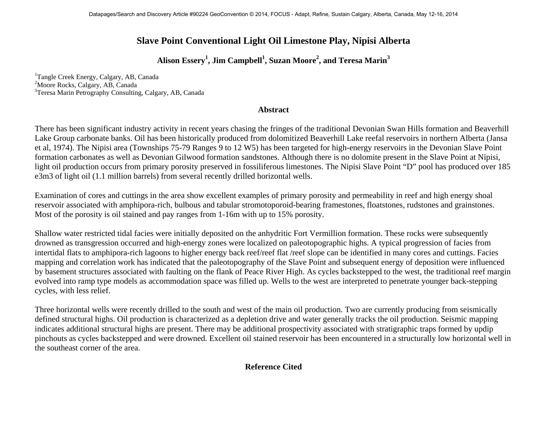## **Slave Point Conventional Light Oil Limestone Play, Nipisi Alberta**

**Alison Essery1 , Jim Campbell<sup>1</sup> , Suzan Moore<sup>2</sup> , and Teresa Marin3** 

<sup>1</sup>Tangle Creek Energy, Calgary, AB, Canada <sup>2</sup>Moore Rocks, Calgary, AB, Canada <sup>3</sup>Teresa Marin Petrography Consulting, Calgary, AB, Canada

## **Abstract**

There has been significant industry activity in recent years chasing the fringes of the traditional Devonian Swan Hills formation and Beaverhill Lake Group carbonate banks. Oil has been historically produced from dolomitized Beaverhill Lake reefal reservoirs in northern Alberta (Jansa et al, 1974). The Nipisi area (Townships 75-79 Ranges 9 to 12 W5) has been targeted for high-energy reservoirs in the Devonian Slave Point formation carbonates as well as Devonian Gilwood formation sandstones. Although there is no dolomite present in the Slave Point at Nipisi, light oil production occurs from primary porosity preserved in fossiliferous limestones. The Nipisi Slave Point "D" pool has produced over 185 e3m3 of light oil (1.1 million barrels) from several recently drilled horizontal wells.

Examination of cores and cuttings in the area show excellent examples of primary porosity and permeability in reef and high energy shoal reservoir associated with amphipora-rich, bulbous and tabular stromotoporoid-bearing framestones, floatstones, rudstones and grainstones. Most of the porosity is oil stained and pay ranges from 1-16m with up to 15% porosity.

Shallow water restricted tidal facies were initially deposited on the anhydritic Fort Vermillion formation. These rocks were subsequently drowned as transgression occurred and high-energy zones were localized on paleotopographic highs. A typical progression of facies from intertidal flats to amphipora-rich lagoons to higher energy back reef/reef flat /reef slope can be identified in many cores and cuttings. Facies mapping and correlation work has indicated that the paleotopography of the Slave Point and subsequent energy of deposition were influenced by basement structures associated with faulting on the flank of Peace River High. As cycles backstepped to the west, the traditional reef margin evolved into ramp type models as accommodation space was filled up. Wells to the west are interpreted to penetrate younger back-stepping cycles, with less relief.

Three horizontal wells were recently drilled to the south and west of the main oil production. Two are currently producing from seismically defined structural highs. Oil production is characterized as a depletion drive and water generally tracks the oil production. Seismic mapping indicates additional structural highs are present. There may be additional prospectivity associated with stratigraphic traps formed by updip pinchouts as cycles backstepped and were drowned. Excellent oil stained reservoir has been encountered in a structurally low horizontal well in the southeast corner of the area.

## **Reference Cited**